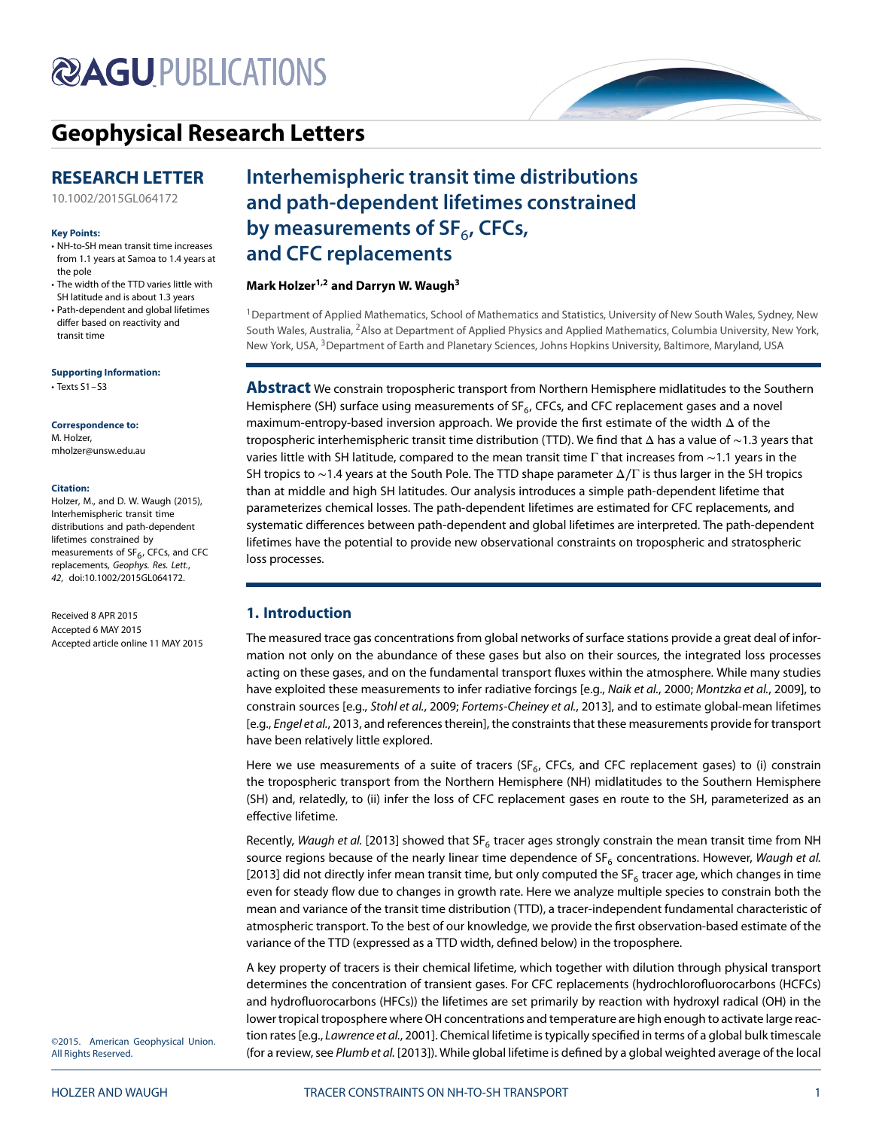# **@AGUPUBLICATIONS**

## **[Geophysical Research Letters](http://onlinelibrary.wiley.com/journal/10.1002/(ISSN)1944-8007)**

### **RESEARCH LETTER**

[10.1002/2015GL064172](http://dx.doi.org/10.1002/2015GL064172)

#### **Key Points:**

- NH-to-SH mean transit time increases from 1.1 years at Samoa to 1.4 years at the pole
- The width of the TTD varies little with SH latitude and is about 1.3 years
- Path-dependent and global lifetimes differ based on reactivity and transit time

#### **Supporting Information:**

• Texts S1–S3

#### **Correspondence to:** M. Holzer, mholzer@unsw.edu.au

#### **Citation:**

Holzer, M., and D. W. Waugh (2015), Interhemispheric transit time distributions and path-dependent lifetimes constrained by measurements of  $SF<sub>6</sub>$ , CFCs, and CFC replacements, Geophys. Res. Lett., 42, doi:10.1002/2015GL064172.

Received 8 APR 2015 Accepted 6 MAY 2015 Accepted article online 11 MAY 2015

## **Interhemispheric transit time distributions and path-dependent lifetimes constrained** by measurements of SF<sub>6</sub>, CFCs, **and CFC replacements**

#### **Mark Holzer1,2 and Darryn W. Waugh3**

1Department of Applied Mathematics, School of Mathematics and Statistics, University of New South Wales, Sydney, New South Wales, Australia, 2Also at Department of Applied Physics and Applied Mathematics, Columbia University, New York, New York, USA, <sup>3</sup>Department of Earth and Planetary Sciences, Johns Hopkins University, Baltimore, Maryland, USA

**Abstract** We constrain tropospheric transport from Northern Hemisphere midlatitudes to the Southern Hemisphere (SH) surface using measurements of  $SF<sub>6</sub>$ , CFCs, and CFC replacement gases and a novel maximum-entropy-based inversion approach. We provide the first estimate of the width Δ of the tropospheric interhemispheric transit time distribution (TTD). We find that Δ has a value of ∼1.3 years that varies little with SH latitude, compared to the mean transit time Γ that increases from ~1.1 years in the SH tropics to ∼1.4 years at the South Pole. The TTD shape parameter Δ∕Γ is thus larger in the SH tropics than at middle and high SH latitudes. Our analysis introduces a simple path-dependent lifetime that parameterizes chemical losses. The path-dependent lifetimes are estimated for CFC replacements, and systematic differences between path-dependent and global lifetimes are interpreted. The path-dependent lifetimes have the potential to provide new observational constraints on tropospheric and stratospheric loss processes.

#### **1. Introduction**

The measured trace gas concentrations from global networks of surface stations provide a great deal of information not only on the abundance of these gases but also on their sources, the integrated loss processes acting on these gases, and on the fundamental transport fluxes within the atmosphere. While many studies have exploited these measurements to infer radiative forcings [e.g., Naik et al., [2000;](#page-7-0) Montzka et al., [2009\]](#page-7-1), to constrain sources [e.g., Stohl et al., [2009;](#page-8-0) Fortems-Cheiney et al., [2013\]](#page-7-2), and to estimate global-mean lifetimes [e.g., Engel et al., [2013,](#page-7-3) and references therein], the constraints that these measurements provide for transport have been relatively little explored.

Here we use measurements of a suite of tracers ( $SF<sub>6</sub>$ , CFCs, and CFC replacement gases) to (i) constrain the tropospheric transport from the Northern Hemisphere (NH) midlatitudes to the Southern Hemisphere (SH) and, relatedly, to (ii) infer the loss of CFC replacement gases en route to the SH, parameterized as an effective lifetime.

Recently, Waugh et al. [\[2013\]](#page-8-1) showed that SF<sub>6</sub> tracer ages strongly constrain the mean transit time from NH source regions because of the nearly linear time dependence of  $SF_6$  concentrations. However, Waugh et al. [\[2013\]](#page-8-1) did not directly infer mean transit time, but only computed the SF<sub>6</sub> tracer age, which changes in time even for steady flow due to changes in growth rate. Here we analyze multiple species to constrain both the mean and variance of the transit time distribution (TTD), a tracer-independent fundamental characteristic of atmospheric transport. To the best of our knowledge, we provide the first observation-based estimate of the variance of the TTD (expressed as a TTD width, defined below) in the troposphere.

A key property of tracers is their chemical lifetime, which together with dilution through physical transport determines the concentration of transient gases. For CFC replacements (hydrochlorofluorocarbons (HCFCs) and hydrofluorocarbons (HFCs)) the lifetimes are set primarily by reaction with hydroxyl radical (OH) in the lower tropical troposphere where OH concentrations and temperature are high enough to activate large reac-tion rates [e.g., Lawrence et al., [2001\]](#page-7-4). Chemical lifetime is typically specified in terms of a global bulk timescale (for a review, see Plumb et al. [\[2013\]](#page-8-2)). While global lifetime is defined by a global weighted average of the local

©2015. American Geophysical Union. All Rights Reserved.

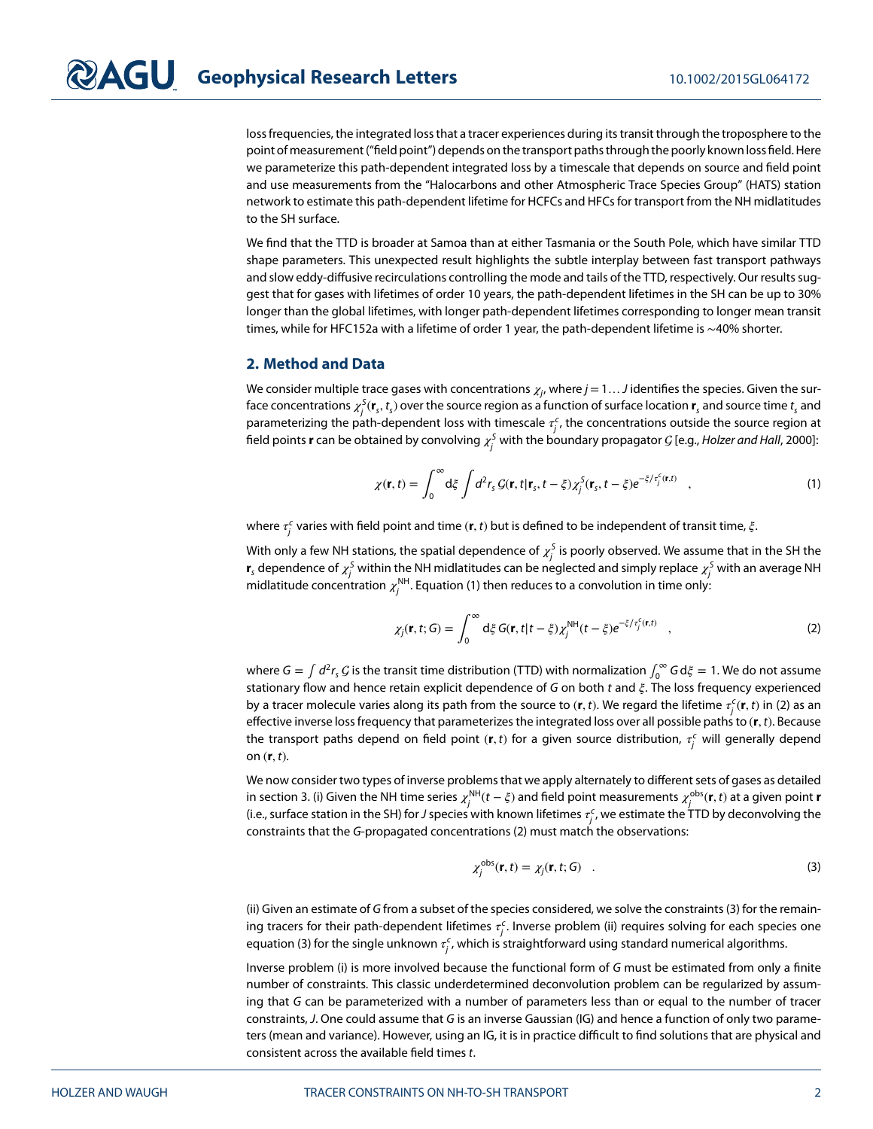loss frequencies, the integrated loss that a tracer experiences during its transit through the troposphere to the point of measurement ("field point") depends on the transport paths through the poorly known loss field. Here we parameterize this path-dependent integrated loss by a timescale that depends on source and field point and use measurements from the "Halocarbons and other Atmospheric Trace Species Group" (HATS) station network to estimate this path-dependent lifetime for HCFCs and HFCs for transport from the NH midlatitudes to the SH surface.

We find that the TTD is broader at Samoa than at either Tasmania or the South Pole, which have similar TTD shape parameters. This unexpected result highlights the subtle interplay between fast transport pathways and slow eddy-diffusive recirculations controlling the mode and tails of the TTD, respectively. Our results suggest that for gases with lifetimes of order 10 years, the path-dependent lifetimes in the SH can be up to 30% longer than the global lifetimes, with longer path-dependent lifetimes corresponding to longer mean transit times, while for HFC152a with a lifetime of order 1 year, the path-dependent lifetime is ∼40% shorter.

#### **2. Method and Data**

We consider multiple trace gases with concentrations  $\chi_{j}$ , where  $j$  = 1  $\dots$  J identifies the species. Given the surface concentrations  $\chi^S_j({\bf r}_s,t_s)$  over the source region as a function of surface location  ${\bf r}_s$  and source time  $t_s$  and parameterizing the path-dependent loss with timescale  $\tau_j^c$ , the concentrations outside the source region at field points **r** can be obtained by convolving  $\chi^\mathsf{S}_j$  with the boundary propagator  $\mathcal{G}$  [e.g., *Holzer and Hall*, [2000\]](#page-7-5):

<span id="page-1-0"></span>
$$
\chi(\mathbf{r},t) = \int_0^\infty d\xi \int d^2r_s \mathcal{G}(\mathbf{r},t|\mathbf{r}_s,t-\xi) \chi_j^S(\mathbf{r}_s,t-\xi) e^{-\xi/\tau_j^c(\mathbf{r},t)} \quad , \tag{1}
$$

where  $\tau^\epsilon_j$  varies with field point and time (**r**, *t*) but is defined to be independent of transit time,  $\xi$ .

With only a few NH stations, the spatial dependence of  $\chi^\mathcal{S}_j$  is poorly observed. We assume that in the SH the  $\bm{r}_s$  dependence of  $\chi_j^S$  within the NH midlatitudes can be neglected and simply replace  $\chi_j^S$  with an average NH midlatitude concentration  $\chi_j^\mathsf{NH}$ . Equation [\(1\)](#page-1-0) then reduces to a convolution in time only:

<span id="page-1-1"></span>
$$
\chi_j(\mathbf{r},t;G) = \int_0^\infty d\xi G(\mathbf{r},t|t-\xi)\chi_j^{\text{NH}}(t-\xi)e^{-\xi/\tau_j^c(\mathbf{r},t)} \quad , \tag{2}
$$

where  $G = \int d^2r_s G$  is the transit time distribution (TTD) with normalization  $\int_0^\infty G d\xi = 1$ . We do not assume stationary flow and hence retain explicit dependence of G on both  $t$  and  $\xi$ . The loss frequency experienced by a tracer molecule varies along its path from the source to  $(r, t)$ . We regard the lifetime  $\tau_j^c(r, t)$  in [\(2\)](#page-1-1) as an effective inverse loss frequency that parameterizes the integrated loss over all possible paths to (**r***,* t). Because the transport paths depend on field point  $(r, t)$  for a given source distribution,  $\tau_j^c$  will generally depend on (**r***,* t).

We now consider two types of inverse problems that we apply alternately to different sets of gases as detailed in section 3. (i) Given the NH time series  $\chi_j^\mathsf{NH}(t-\xi)$  and field point measurements  $\chi_j^\mathsf{obs}(\mathbf{r},t)$  at a given point **r** (i.e., surface station in the SH) for J species with known lifetimes  $\tau^c_j$ , we estimate the TTD by deconvolving the constraints that the G-propagated concentrations [\(2\)](#page-1-1) must match the observations:

<span id="page-1-2"></span>
$$
\chi_j^{\text{obs}}(\mathbf{r},t) = \chi_j(\mathbf{r},t;G) \quad . \tag{3}
$$

(ii) Given an estimate of G from a subset of the species considered, we solve the constraints [\(3\)](#page-1-2) for the remaining tracers for their path-dependent lifetimes  $\tau_j^c$ . Inverse problem (ii) requires solving for each species one equation [\(3\)](#page-1-2) for the single unknown  $\tau^\mathsf{c}_j$ , which is straightforward using standard numerical algorithms.

Inverse problem (i) is more involved because the functional form of G must be estimated from only a finite number of constraints. This classic underdetermined deconvolution problem can be regularized by assuming that G can be parameterized with a number of parameters less than or equal to the number of tracer constraints, J. One could assume that G is an inverse Gaussian (IG) and hence a function of only two parameters (mean and variance). However, using an IG, it is in practice difficult to find solutions that are physical and consistent across the available field times t.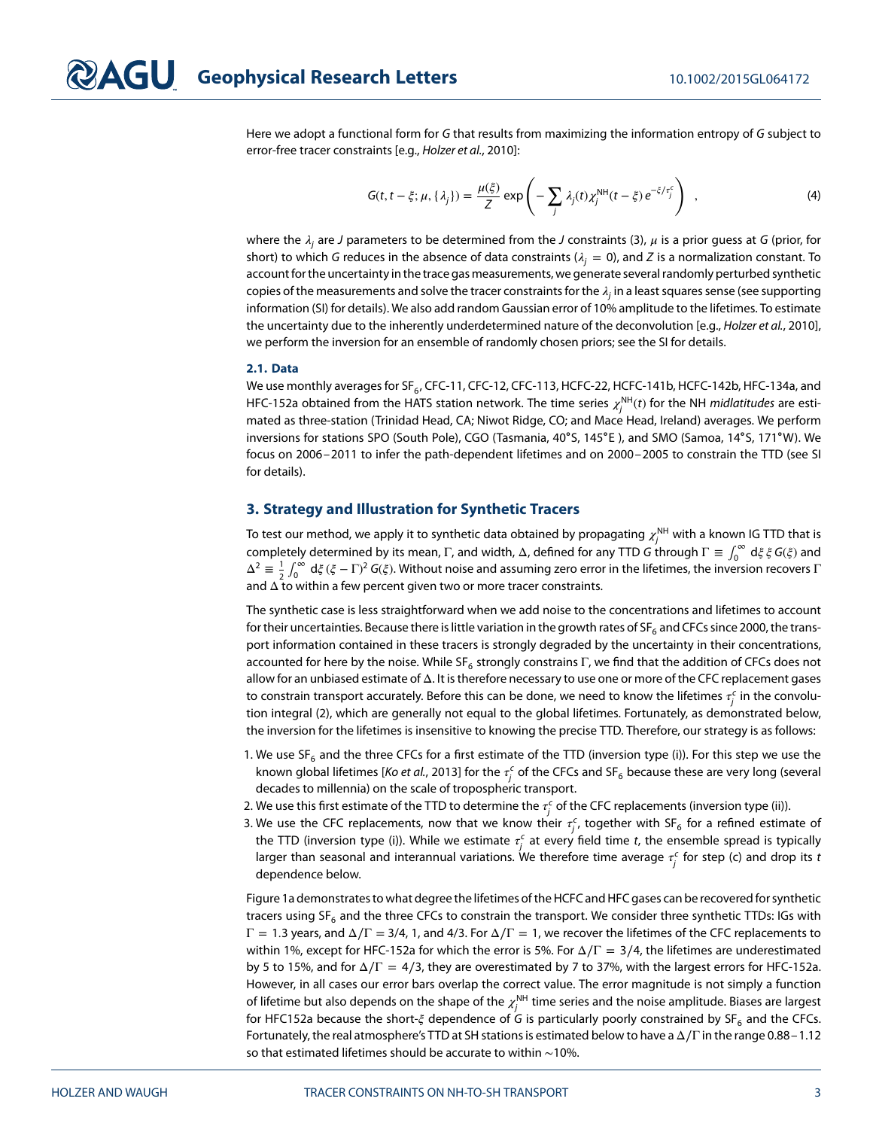Here we adopt a functional form for G that results from maximizing the information entropy of G subject to error-free tracer constraints [e.g., Holzer et al., [2010\]](#page-7-6):

$$
G(t, t - \xi; \mu, \{\lambda_j\}) = \frac{\mu(\xi)}{Z} \exp\left(-\sum_j \lambda_j(t)\chi_j^{\text{NH}}(t - \xi) e^{-\xi/\tau_j^c}\right) , \qquad (4)
$$

where the  $\lambda_i$  are J parameters to be determined from the J constraints [\(3\)](#page-1-2),  $\mu$  is a prior guess at G (prior, for short) to which G reduces in the absence of data constraints ( $\lambda_i = 0$ ), and Z is a normalization constant. To account for the uncertainty in the trace gas measurements, we generate several randomly perturbed synthetic copies of the measurements and solve the tracer constraints for the  $\lambda_i$  in a least squares sense (see supporting information (SI) for details). We also add random Gaussian error of 10% amplitude to the lifetimes. To estimate the uncertainty due to the inherently underdetermined nature of the deconvolution [e.g., Holzer et al., [2010\]](#page-7-6), we perform the inversion for an ensemble of randomly chosen priors; see the SI for details.

#### **2.1. Data**

We use monthly averages for SF $_6$ , CFC-11, CFC-12, CFC-113, HCFC-22, HCFC-141b, HCFC-142b, HFC-134a, and HFC-152a obtained from the HATS station network. The time series  $\chi_j^{\text{NH}}(t)$  for the NH *midlatitudes* are estimated as three-station (Trinidad Head, CA; Niwot Ridge, CO; and Mace Head, Ireland) averages. We perform inversions for stations SPO (South Pole), CGO (Tasmania, 40∘S, 145∘E ), and SMO (Samoa, 14∘S, 171∘W). We focus on 2006–2011 to infer the path-dependent lifetimes and on 2000–2005 to constrain the TTD (see SI for details).

#### **3. Strategy and Illustration for Synthetic Tracers**

To test our method, we apply it to synthetic data obtained by propagating  $\chi_j^{\sf NH}$  with a known IG TTD that is completely determined by its mean,  $\Gamma$ , and width,  $\Delta$ , defined for any TTD G through  $\Gamma\equiv\int_0^\infty\,d\xi\,\xi\,G(\xi)$  and  $\Delta^2 \equiv \frac{1}{2} \int_0^\infty d\xi (\xi - \Gamma)^2 G(\xi)$ . Without noise and assuming zero error in the lifetimes, the inversion recovers  $\Gamma$ and  $\Delta$  to within a few percent given two or more tracer constraints.

The synthetic case is less straightforward when we add noise to the concentrations and lifetimes to account for their uncertainties. Because there is little variation in the growth rates of SF<sub>6</sub> and CFCs since 2000, the transport information contained in these tracers is strongly degraded by the uncertainty in their concentrations, accounted for here by the noise. While SF<sub>6</sub> strongly constrains Γ, we find that the addition of CFCs does not allow for an unbiased estimate of Δ. It is therefore necessary to use one or more of the CFC replacement gases to constrain transport accurately. Before this can be done, we need to know the lifetimes  $\tau^\epsilon_j$  in the convolution integral [\(2\)](#page-1-1), which are generally not equal to the global lifetimes. Fortunately, as demonstrated below, the inversion for the lifetimes is insensitive to knowing the precise TTD. Therefore, our strategy is as follows:

- 1. We use  $SF_6$  and the three CFCs for a first estimate of the TTD (inversion type (i)). For this step we use the known global lifetimes [*Ko et al.*, [2013\]](#page-7-7) for the  $\tau^\epsilon_j$  of the CFCs and SF<sub>6</sub> because these are very long (several decades to millennia) on the scale of tropospheric transport.
- 2. We use this first estimate of the TTD to determine the  $\tau^\epsilon_j$  of the CFC replacements (inversion type (ii)).
- 3. We use the CFC replacements, now that we know their  $\tau_j^c$ , together with SF<sub>6</sub> for a refined estimate of the TTD (inversion type (i)). While we estimate  $\tau_j^c$  at every field time  $t$ , the ensemble spread is typically larger than seasonal and interannual variations. We therefore time average  $\tau_j^c$  for step (c) and drop its  $t$ dependence below.

Figure [1a](#page-3-0) demonstrates to what degree the lifetimes of the HCFC and HFC gases can be recovered for synthetic tracers using  $SF_6$  and the three CFCs to constrain the transport. We consider three synthetic TTDs: IGs with Γ = 1*.*3 years, and Δ∕Γ = 3/4, 1, and 4/3. For Δ∕Γ = 1, we recover the lifetimes of the CFC replacements to within 1%, except for HFC-152a for which the error is 5%. For  $\Delta/\Gamma = 3/4$ , the lifetimes are underestimated by 5 to 15%, and for  $\Delta/\Gamma = 4/3$ , they are overestimated by 7 to 37%, with the largest errors for HFC-152a. However, in all cases our error bars overlap the correct value. The error magnitude is not simply a function of lifetime but also depends on the shape of the  $\chi^{\mathsf{NH}}_j$  time series and the noise amplitude. Biases are largest for HFC152a because the short- $\xi$  dependence of G is particularly poorly constrained by SF<sub>6</sub> and the CFCs. Fortunately, the real atmosphere's TTD at SH stations is estimated below to have a Δ∕Γ in the range 0.88–1.12 so that estimated lifetimes should be accurate to within ∼10%.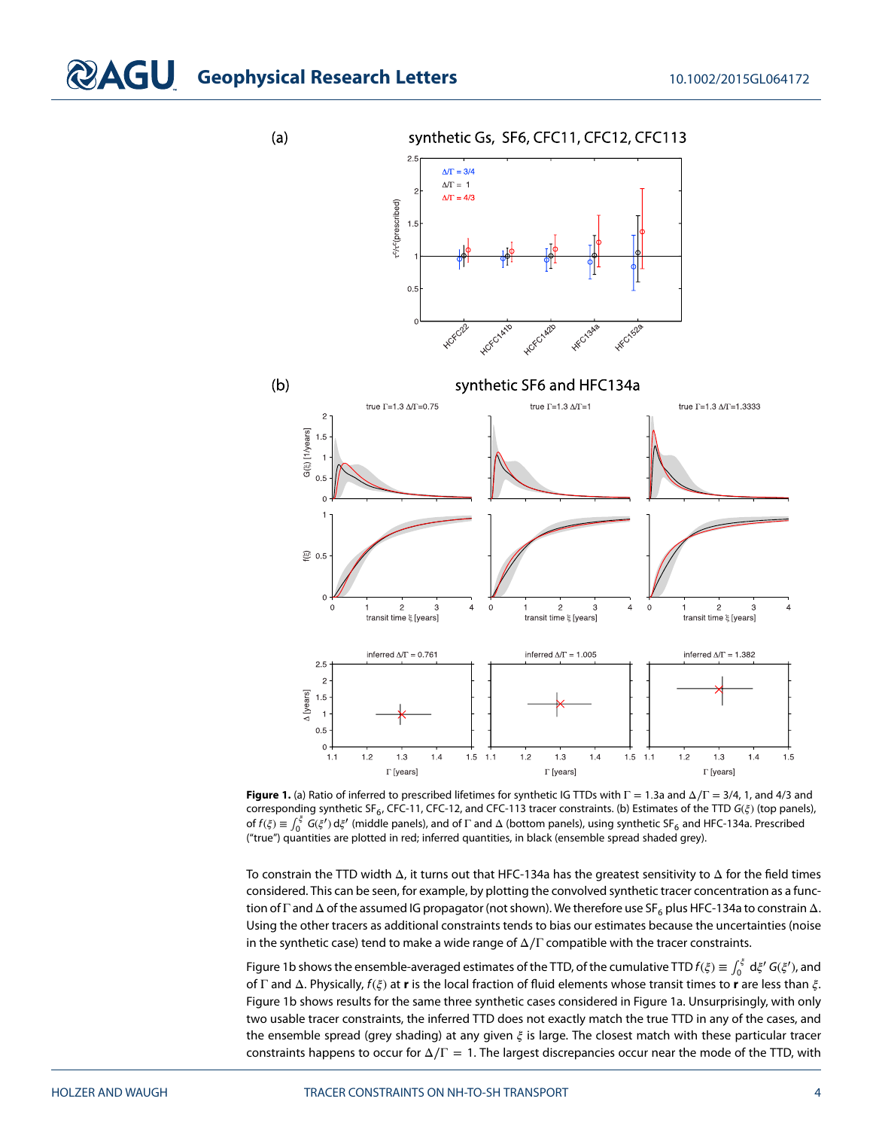## **COAGU** Geophysical Research Letters 10.1002/2015GL064172

 $(a)$ 

synthetic Gs, SF6, CFC11, CFC12, CFC113



<span id="page-3-0"></span>**Figure 1.** (a) Ratio of inferred to prescribed lifetimes for synthetic IG TTDs with Γ = 1*.*3a and Δ∕Γ = 3/4, 1, and 4/3 and corresponding synthetic SF<sub>6</sub>, CFC-11, CFC-12, and CFC-113 tracer constraints. (b) Estimates of the TTD  $G(\xi)$  (top panels), of  $f(\xi) \equiv \int_0^{\xi} G(\xi') d\xi'$  (middle panels), and of  $\Gamma$  and  $\Delta$  (bottom panels), using synthetic SF<sub>6</sub> and HFC-134a. Prescribed ("true") quantities are plotted in red; inferred quantities, in black (ensemble spread shaded grey).

To constrain the TTD width Δ, it turns out that HFC-134a has the greatest sensitivity to Δ for the field times considered. This can be seen, for example, by plotting the convolved synthetic tracer concentration as a function of Γ and  $\Delta$  of the assumed IG propagator (not shown). We therefore use SF<sub>6</sub> plus HFC-134a to constrain  $\Delta$ . Using the other tracers as additional constraints tends to bias our estimates because the uncertainties (noise in the synthetic case) tend to make a wide range of  $\Delta/\Gamma$  compatible with the tracer constraints.

Figure [1b](#page-3-0) shows the ensemble-averaged estimates of the TTD, of the cumulative TTD  $f(\xi) \equiv \int_0^\xi d\xi' G(\xi'),$  and of Γ and Δ. Physically,  $f(\xi)$  at **r** is the local fraction of fluid elements whose transit times to **r** are less than  $\xi$ . Figure [1b](#page-3-0) shows results for the same three synthetic cases considered in Figure [1a](#page-3-0). Unsurprisingly, with only two usable tracer constraints, the inferred TTD does not exactly match the true TTD in any of the cases, and the ensemble spread (grey shading) at any given  $\xi$  is large. The closest match with these particular tracer constraints happens to occur for  $\Delta/\Gamma = 1$ . The largest discrepancies occur near the mode of the TTD, with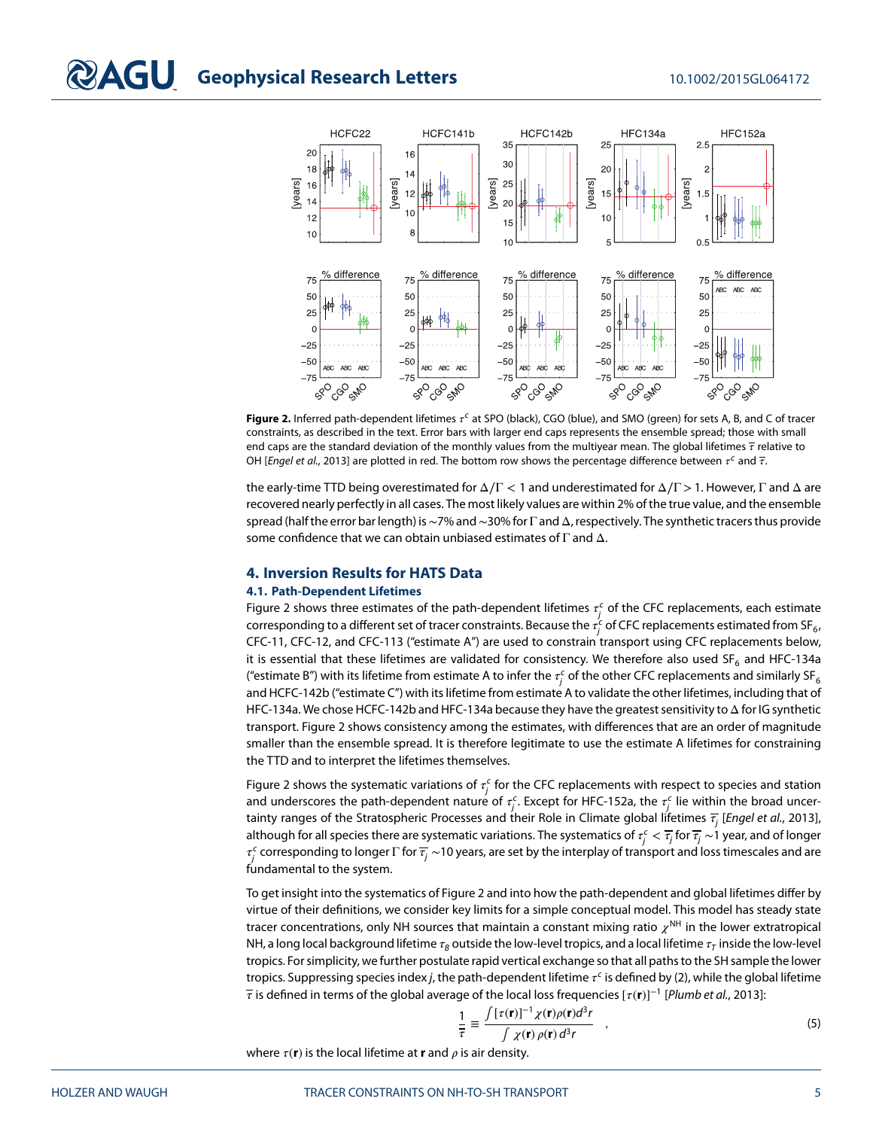

<span id="page-4-0"></span>**Figure 2.** Inferred path-dependent lifetimes  $\tau^c$  at SPO (black), CGO (blue), and SMO (green) for sets A, B, and C of tracer constraints, as described in the text. Error bars with larger end caps represents the ensemble spread; those with small end caps are the standard deviation of the monthly values from the multiyear mean. The global lifetimes  $\bar{\tau}$  relative to OH [Engel et al., [2013\]](#page-7-3) are plotted in red. The bottom row shows the percentage difference between  $\tau^c$  and  $\bar{\tau}$ .

the early-time TTD being overestimated for Δ∕Γ *<* 1 and underestimated for Δ∕Γ*>*1. However, Γ and Δ are recovered nearly perfectly in all cases. The most likely values are within 2% of the true value, and the ensemble spread (half the error bar length) is∼7% and∼30% for Γ and Δ, respectively. The synthetic tracers thus provide some confidence that we can obtain unbiased estimates of  $\Gamma$  and  $\Delta$ .

#### **4. Inversion Results for HATS Data**

#### **4.1. Path-Dependent Lifetimes**

Figure [2](#page-4-0) shows three estimates of the path-dependent lifetimes  $\tau_j^c$  of the CFC replacements, each estimate corresponding to a different set of tracer constraints. Because the  $\tau_j^c$  of CFC replacements estimated from SF $_6$ , CFC-11, CFC-12, and CFC-113 ("estimate A") are used to constrain transport using CFC replacements below, it is essential that these lifetimes are validated for consistency. We therefore also used SF<sub>6</sub> and HFC-134a ("estimate B") with its lifetime from estimate A to infer the  $\tau_j^c$  of the other CFC replacements and similarly SF $_6$ and HCFC-142b ("estimate C") with its lifetime from estimate A to validate the other lifetimes, including that of HFC-134a. We chose HCFC-142b and HFC-134a because they have the greatest sensitivity to Δ for IG synthetic transport. Figure [2](#page-4-0) shows consistency among the estimates, with differences that are an order of magnitude smaller than the ensemble spread. It is therefore legitimate to use the estimate A lifetimes for constraining the TTD and to interpret the lifetimes themselves.

Figure [2](#page-4-0) shows the systematic variations of  $\tau_j^c$  for the CFC replacements with respect to species and station and underscores the path-dependent nature of  $\tau_j^c$ . Except for HFC-152a, the  $\tau_j^c$  lie within the broad uncertainty ranges of the Stratospheric Processes and their Role in Climate global lifetimes  $\overline{t}_i$  [Engel et al., [2013\]](#page-7-3), although for all species there are systematic variations. The systematics of  $\tau_j^c<\overline{\tau_j}$  for  $\overline{\tau_j}\sim$  1 year, and of longer  $\tau^\epsilon_j$  corresponding to longer  $\Gamma$  for  $\overline{\tau_j}$  ~10 years, are set by the interplay of transport and loss timescales and are fundamental to the system.

To get insight into the systematics of Figure [2](#page-4-0) and into how the path-dependent and global lifetimes differ by virtue of their definitions, we consider key limits for a simple conceptual model. This model has steady state tracer concentrations, only NH sources that maintain a constant mixing ratio  $\chi^{\text{NH}}$  in the lower extratropical NH, a long local background lifetime  $\tau_R$  outside the low-level tropics, and a local lifetime  $\tau_T$  inside the low-level tropics. For simplicity, we further postulate rapid vertical exchange so that all paths to the SH sample the lower tropics. Suppressing species index j, the path-dependent lifetime  $\tau^c$  is defined by [\(2\)](#page-1-1), while the global lifetime is defined in terms of the global average of the local loss frequencies [(**r**)]<sup>−</sup><sup>1</sup> [Plumb et al., [2013\]](#page-8-2):

<span id="page-4-1"></span>
$$
\frac{1}{\tau} \equiv \frac{\int \left[\tau(\mathbf{r})\right]^{-1} \chi(\mathbf{r}) \rho(\mathbf{r}) d^3 r}{\int \chi(\mathbf{r}) \rho(\mathbf{r}) d^3 r} , \qquad (5)
$$

where  $\tau(\mathbf{r})$  is the local lifetime at **r** and  $\rho$  is air density.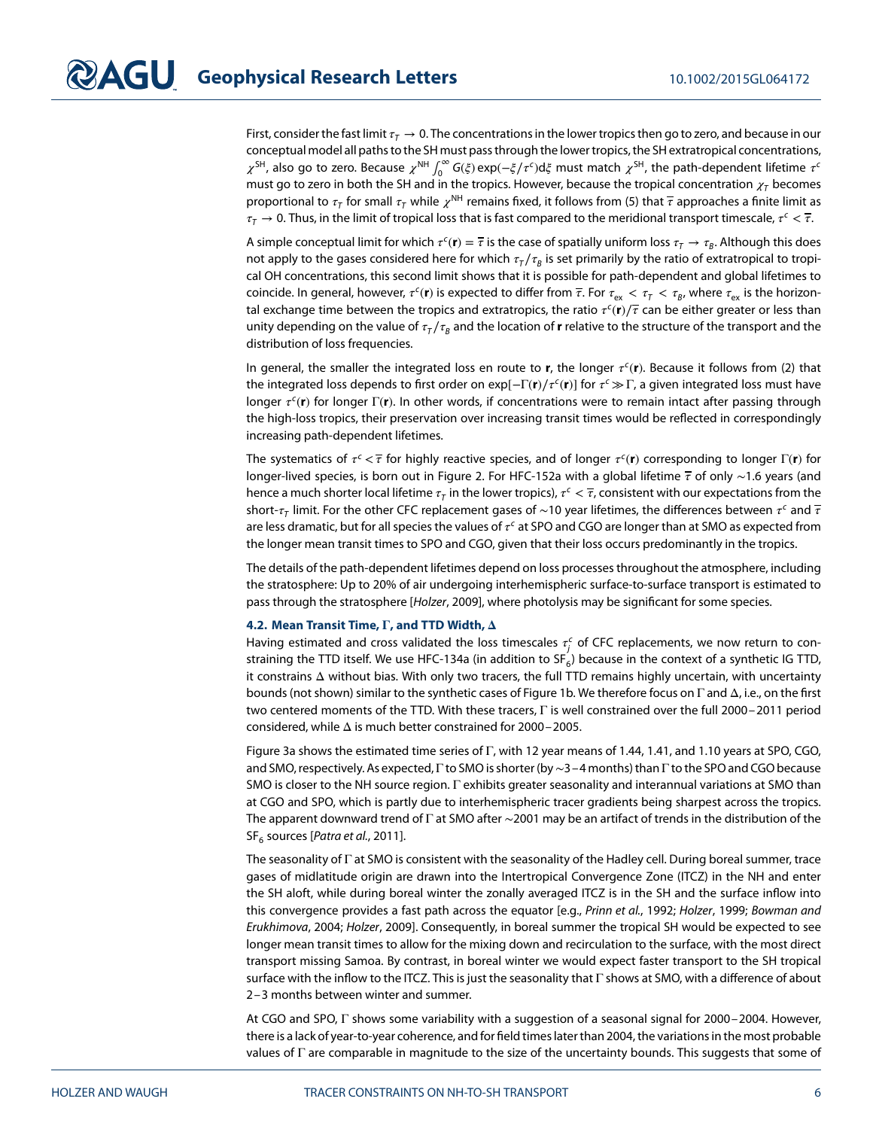First, consider the fast limit  $\tau<sub>T</sub> \to 0$ . The concentrations in the lower tropics then go to zero, and because in our conceptual model all paths to the SH must pass through the lower tropics, the SH extratropical concentrations,  $\chi^{\rm SH}$ , also go to zero. Because  $\chi^{\rm NH}$   $\int_0^\infty G(\xi) \exp(-\xi/\tau^c) d\xi$  must match  $\chi^{\rm SH}$ , the path-dependent lifetime  $\tau^c$ must go to zero in both the SH and in the tropics. However, because the tropical concentration  $\chi_T$  becomes proportional to  $\tau$ <sub>T</sub> for small  $\tau$ <sub>T</sub> while  $\chi$ <sup>NH</sup> remains fixed, it follows from [\(5\)](#page-4-1) that  $\bar{\tau}$  approaches a finite limit as  $\tau_T \to 0$ . Thus, in the limit of tropical loss that is fast compared to the meridional transport timescale,  $\tau^c < \overline{\tau}$ .

A simple conceptual limit for which  $\tau^c(\mathbf{r}) = \overline{\tau}$  is the case of spatially uniform loss  $\tau_T \to \tau_B$ . Although this does not apply to the gases considered here for which  $\tau_T/\tau_B$  is set primarily by the ratio of extratropical to tropical OH concentrations, this second limit shows that it is possible for path-dependent and global lifetimes to coincide. In general, however,  $\tau^c(\mathbf{r})$  is expected to differ from  $\overline{\tau}$ . For  $\tau_{ex} < \tau_f < \tau_B$ , where  $\tau_{ex}$  is the horizontal exchange time between the tropics and extratropics, the ratio  $\tau^c(\mathbf{r})/\tau$  can be either greater or less than unity depending on the value of  $\tau_T/\tau_B$  and the location of **r** relative to the structure of the transport and the distribution of loss frequencies.

In general, the smaller the integrated loss en route to **r**, the longer  $\tau^c(\mathbf{r})$ . Because it follows from [\(2\)](#page-1-1) that the integrated loss depends to first order on exp[-Γ(**r**)/ $\tau$ <sup>c</sup>(**r**)] for  $\tau$ <sup>c</sup> ≫ Γ, a given integrated loss must have longer τ<sup>c</sup>(**r**) for longer Γ(**r**). In other words, if concentrations were to remain intact after passing through the high-loss tropics, their preservation over increasing transit times would be reflected in correspondingly increasing path-dependent lifetimes.

The systematics of  $\tau^c < \tau$  for highly reactive species, and of longer  $\tau^c(\bf{r})$  corresponding to longer Γ(**r**) for longer-lived species, is born out in Figure [2.](#page-4-0) For HFC-152a with a global lifetime  $\bar{\tau}$  of only ∼1.6 years (and hence a much shorter local lifetime  $\tau_T$  in the lower tropics),  $\tau^c < \overline{\tau}$ , consistent with our expectations from the short- $\tau$ <sub>T</sub> limit. For the other CFC replacement gases of ~10 year lifetimes, the differences between  $\tau^c$  and  $\bar{\tau}$ are less dramatic, but for all species the values of  $\tau^c$  at SPO and CGO are longer than at SMO as expected from the longer mean transit times to SPO and CGO, given that their loss occurs predominantly in the tropics.

The details of the path-dependent lifetimes depend on loss processes throughout the atmosphere, including the stratosphere: Up to 20% of air undergoing interhemispheric surface-to-surface transport is estimated to pass through the stratosphere [Holzer, [2009\]](#page-7-8), where photolysis may be significant for some species.

#### **4.2. Mean Transit Time,**  $\Gamma$ **, and TTD Width,**  $\Delta$

Having estimated and cross validated the loss timescales  $\tau_j^c$  of CFC replacements, we now return to constraining the TTD itself. We use HFC-134a (in addition to  $SF_6$ ) because in the context of a synthetic IG TTD, it constrains Δ without bias. With only two tracers, the full TTD remains highly uncertain, with uncertainty bounds (not shown) similar to the synthetic cases of Figure [1b](#page-3-0). We therefore focus on Γ and Δ, i.e., on the first two centered moments of the TTD. With these tracers, Γ is well constrained over the full 2000–2011 period considered, while Δ is much better constrained for 2000–2005.

Figure [3a](#page-6-0) shows the estimated time series of Γ, with 12 year means of 1.44, 1.41, and 1.10 years at SPO, CGO, and SMO, respectively. As expected, Γ to SMO is shorter (by∼3–4 months) than Γ to the SPO and CGO because SMO is closer to the NH source region. Γ exhibits greater seasonality and interannual variations at SMO than at CGO and SPO, which is partly due to interhemispheric tracer gradients being sharpest across the tropics. The apparent downward trend of Γ at SMO after ∼2001 may be an artifact of trends in the distribution of the  $SF<sub>6</sub>$  sources [*Patra et al.*, [2011\]](#page-7-9).

The seasonality of Γ at SMO is consistent with the seasonality of the Hadley cell. During boreal summer, trace gases of midlatitude origin are drawn into the Intertropical Convergence Zone (ITCZ) in the NH and enter the SH aloft, while during boreal winter the zonally averaged ITCZ is in the SH and the surface inflow into this convergence provides a fast path across the equator [e.g., Prinn et al., [1992;](#page-8-3) Holzer, [1999;](#page-7-10) Bowman and Erukhimova, [2004;](#page-7-11) Holzer, [2009\]](#page-7-8). Consequently, in boreal summer the tropical SH would be expected to see longer mean transit times to allow for the mixing down and recirculation to the surface, with the most direct transport missing Samoa. By contrast, in boreal winter we would expect faster transport to the SH tropical surface with the inflow to the ITCZ. This is just the seasonality that Γ shows at SMO, with a difference of about 2–3 months between winter and summer.

At CGO and SPO, Γ shows some variability with a suggestion of a seasonal signal for 2000–2004. However, there is a lack of year-to-year coherence, and for field times later than 2004, the variations in the most probable values of  $\Gamma$  are comparable in magnitude to the size of the uncertainty bounds. This suggests that some of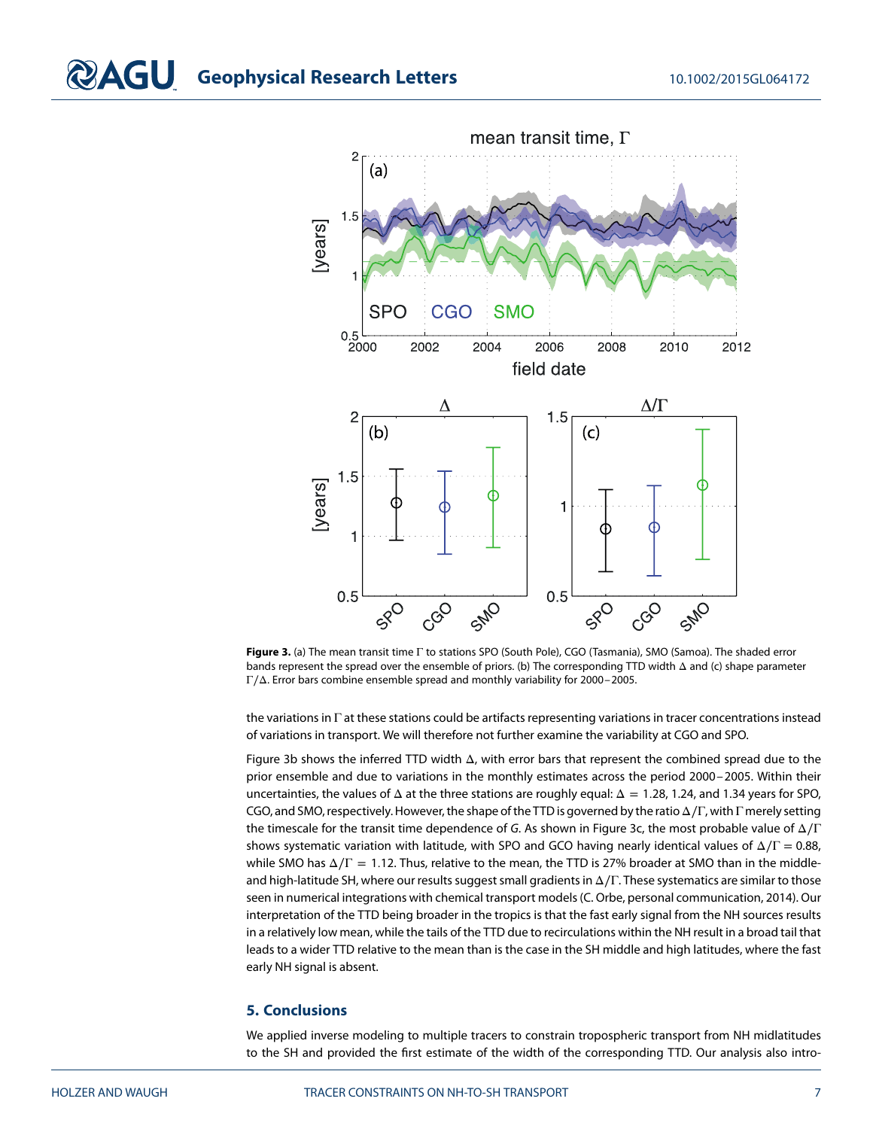

<span id="page-6-0"></span>**Figure 3.** (a) The mean transit time Γ to stations SPO (South Pole), CGO (Tasmania), SMO (Samoa). The shaded error bands represent the spread over the ensemble of priors. (b) The corresponding TTD width Δ and (c) shape parameter Γ∕Δ. Error bars combine ensemble spread and monthly variability for 2000–2005.

the variations in Γ at these stations could be artifacts representing variations in tracer concentrations instead of variations in transport. We will therefore not further examine the variability at CGO and SPO.

Figure [3b](#page-6-0) shows the inferred TTD width Δ, with error bars that represent the combined spread due to the prior ensemble and due to variations in the monthly estimates across the period 2000–2005. Within their uncertainties, the values of Δ at the three stations are roughly equal: Δ = 1*.*28, 1.24, and 1.34 years for SPO, CGO, and SMO, respectively. However, the shape of the TTD is governed by the ratio Δ∕Γ, with Γ merely setting the timescale for the transit time dependence of G. As shown in Figure [3c](#page-6-0), the most probable value of  $\Delta/\Gamma$ shows systematic variation with latitude, with SPO and GCO having nearly identical values of  $\Delta/\Gamma = 0.88$ , while SMO has Δ∕Γ = 1*.*12. Thus, relative to the mean, the TTD is 27% broader at SMO than in the middleand high-latitude SH, where our results suggest small gradients in Δ∕Γ. These systematics are similar to those seen in numerical integrations with chemical transport models (C. Orbe, personal communication, 2014). Our interpretation of the TTD being broader in the tropics is that the fast early signal from the NH sources results in a relatively low mean, while the tails of the TTD due to recirculations within the NH result in a broad tail that leads to a wider TTD relative to the mean than is the case in the SH middle and high latitudes, where the fast early NH signal is absent.

### **5. Conclusions**

We applied inverse modeling to multiple tracers to constrain tropospheric transport from NH midlatitudes to the SH and provided the first estimate of the width of the corresponding TTD. Our analysis also intro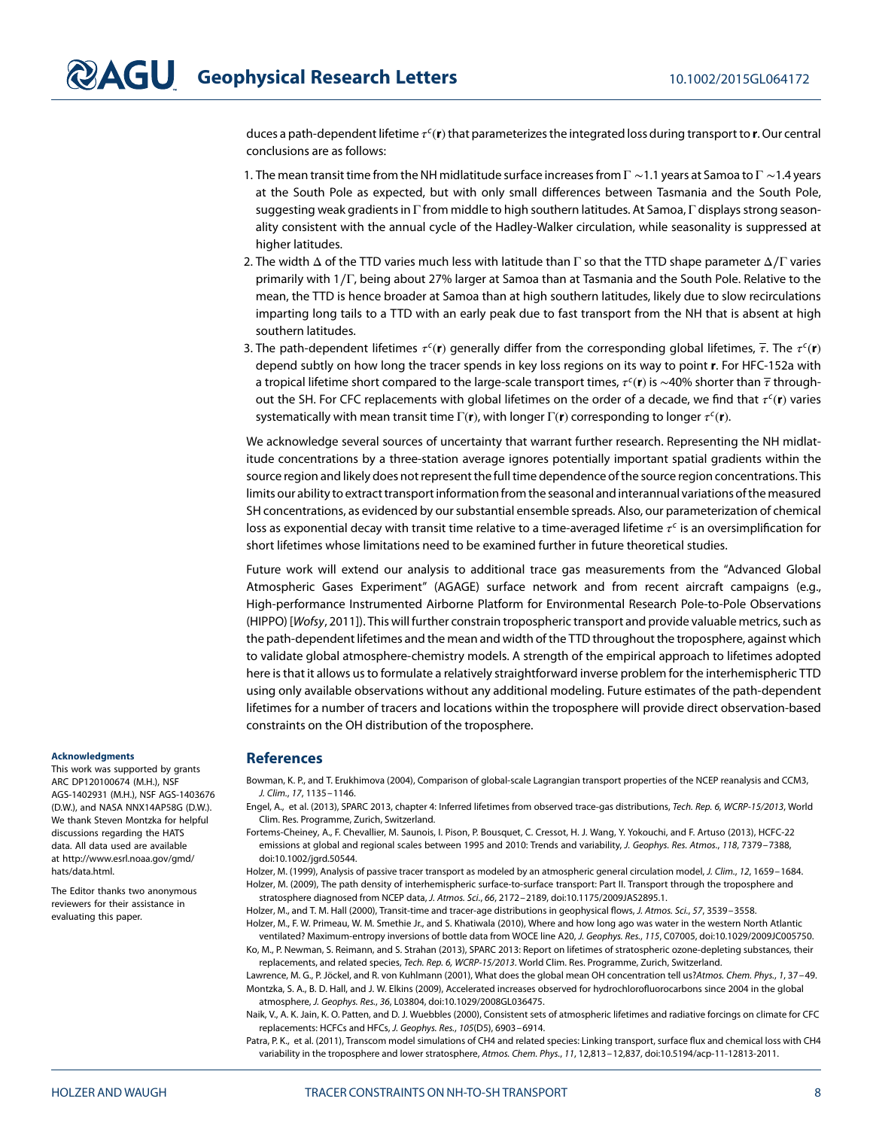duces a path-dependent lifetime  $\tau^c(\mathbf{r})$  that parameterizes the integrated loss during transport to **r**. Our central conclusions are as follows:

- 1. The mean transit time from the NH midlatitude surface increases from  $\Gamma$  ~1.1 years at Samoa to  $\Gamma$  ~1.4 years at the South Pole as expected, but with only small differences between Tasmania and the South Pole, suggesting weak gradients in Γ from middle to high southern latitudes. At Samoa, Γ displays strong seasonality consistent with the annual cycle of the Hadley-Walker circulation, while seasonality is suppressed at higher latitudes.
- 2. The width  $\Delta$  of the TTD varies much less with latitude than Γ so that the TTD shape parameter  $\Delta/\Gamma$  varies primarily with 1∕Γ, being about 27% larger at Samoa than at Tasmania and the South Pole. Relative to the mean, the TTD is hence broader at Samoa than at high southern latitudes, likely due to slow recirculations imparting long tails to a TTD with an early peak due to fast transport from the NH that is absent at high southern latitudes.
- 3. The path-dependent lifetimes  $\tau^c(\bf{r})$  generally differ from the corresponding global lifetimes,  $\bar{\tau}$ . The  $\tau^c(\bf{r})$ depend subtly on how long the tracer spends in key loss regions on its way to point **r**. For HFC-152a with a tropical lifetime short compared to the large-scale transport times,  $\tau^c$ (**r**) is ∼40% shorter than  $\bar{\tau}$  throughout the SH. For CFC replacements with global lifetimes on the order of a decade, we find that  $\tau^c(\mathbf{r})$  varies systematically with mean transit time Γ(**r**), with longer Γ(**r**) corresponding to longer  $\tau^c(\mathbf{r})$ .

We acknowledge several sources of uncertainty that warrant further research. Representing the NH midlatitude concentrations by a three-station average ignores potentially important spatial gradients within the source region and likely does not represent the full time dependence of the source region concentrations. This limits our ability to extract transport information from the seasonal and interannual variations of the measured SH concentrations, as evidenced by our substantial ensemble spreads. Also, our parameterization of chemical loss as exponential decay with transit time relative to a time-averaged lifetime  $\tau^c$  is an oversimplification for short lifetimes whose limitations need to be examined further in future theoretical studies.

Future work will extend our analysis to additional trace gas measurements from the "Advanced Global Atmospheric Gases Experiment" (AGAGE) surface network and from recent aircraft campaigns (e.g., High-performance Instrumented Airborne Platform for Environmental Research Pole-to-Pole Observations (HIPPO) [Wofsy, [2011\]](#page-8-4)). This will further constrain tropospheric transport and provide valuable metrics, such as the path-dependent lifetimes and the mean and width of the TTD throughout the troposphere, against which to validate global atmosphere-chemistry models. A strength of the empirical approach to lifetimes adopted here is that it allows us to formulate a relatively straightforward inverse problem for the interhemispheric TTD using only available observations without any additional modeling. Future estimates of the path-dependent lifetimes for a number of tracers and locations within the troposphere will provide direct observation-based constraints on the OH distribution of the troposphere.

#### **References**

<span id="page-7-11"></span>Bowman, K. P., and T. Erukhimova (2004), Comparison of global-scale Lagrangian transport properties of the NCEP reanalysis and CCM3, J. Clim., 17, 1135–1146.

- <span id="page-7-3"></span>Engel, A., et al. (2013), SPARC 2013, chapter 4: Inferred lifetimes from observed trace-gas distributions, Tech. Rep. 6, WCRP-15/2013, World Clim. Res. Programme, Zurich, Switzerland.
- <span id="page-7-2"></span>Fortems-Cheiney, A., F. Chevallier, M. Saunois, I. Pison, P. Bousquet, C. Cressot, H. J. Wang, Y. Yokouchi, and F. Artuso (2013), HCFC-22 emissions at global and regional scales between 1995 and 2010: Trends and variability, J. Geophys. Res. Atmos., 118, 7379-7388, doi[:10.1002/jgrd.50544.](http://dx.doi.org/10.1002/jgrd.50544)

<span id="page-7-10"></span><span id="page-7-8"></span>Holzer, M. (1999), Analysis of passive tracer transport as modeled by an atmospheric general circulation model, J. Clim., 12, 1659–1684. Holzer, M. (2009), The path density of interhemispheric surface-to-surface transport: Part II. Transport through the troposphere and stratosphere diagnosed from NCEP data, J. Atmos. Sci., 66, 2172–2189, doi[:10.1175/2009JAS2895.1.](http://dx.doi.org/10.1175/2009JAS2895.1)

<span id="page-7-6"></span><span id="page-7-5"></span>Holzer, M., and T. M. Hall (2000), Transit-time and tracer-age distributions in geophysical flows, J. Atmos. Sci., 57, 3539–3558.

<span id="page-7-7"></span>Holzer, M., F. W. Primeau, W. M. Smethie Jr., and S. Khatiwala (2010), Where and how long ago was water in the western North Atlantic ventilated? Maximum-entropy inversions of bottle data from WOCE line A20, J. Geophys. Res., 115, C07005, doi[:10.1029/2009JC005750.](http://dx.doi.org/10.1029/2009JC005750) Ko, M., P. Newman, S. Reimann, and S. Strahan (2013), SPARC 2013: Report on lifetimes of stratospheric ozone-depleting substances, their

<span id="page-7-4"></span><span id="page-7-1"></span>replacements, and related species, Tech. Rep. 6, WCRP-15/2013. World Clim. Res. Programme, Zurich, Switzerland. Lawrence, M. G., P. Jöckel, and R. von Kuhlmann (2001), What does the global mean OH concentration tell us?Atmos. Chem. Phys., 1, 37–49. Montzka, S. A., B. D. Hall, and J. W. Elkins (2009), Accelerated increases observed for hydrochlorofluorocarbons since 2004 in the global atmosphere, J. Geophys. Res., 36, L03804, doi[:10.1029/2008GL036475.](http://dx.doi.org/10.1029/2008GL036475)

<span id="page-7-0"></span>Naik, V., A. K. Jain, K. O. Patten, and D. J. Wuebbles (2000), Consistent sets of atmospheric lifetimes and radiative forcings on climate for CFC replacements: HCFCs and HFCs, J. Geophys. Res., 105(D5), 6903–6914.

<span id="page-7-9"></span>Patra, P. K., et al. (2011), Transcom model simulations of CH4 and related species: Linking transport, surface flux and chemical loss with CH4 variability in the troposphere and lower stratosphere, Atmos. Chem. Phys., 11, 12,813–12,837, doi[:10.5194/acp-11-12813-2011.](http://dx.doi.org/10.5194/acp-11-12813-2011)

#### **Acknowledgments**

This work was supported by grants ARC DP120100674 (M.H.), NSF AGS-1402931 (M.H.), NSF AGS-1403676 (D.W.), and NASA NNX14AP58G (D.W.). We thank Steven Montzka for helpful discussions regarding the HATS data. All data used are available at [http://www.esrl.noaa.gov/gmd/](http://www.esrl.noaa.gov/gmd/hats/data.html) [hats/data.html.](http://www.esrl.noaa.gov/gmd/hats/data.html)

The Editor thanks two anonymous reviewers for their assistance in evaluating this paper.